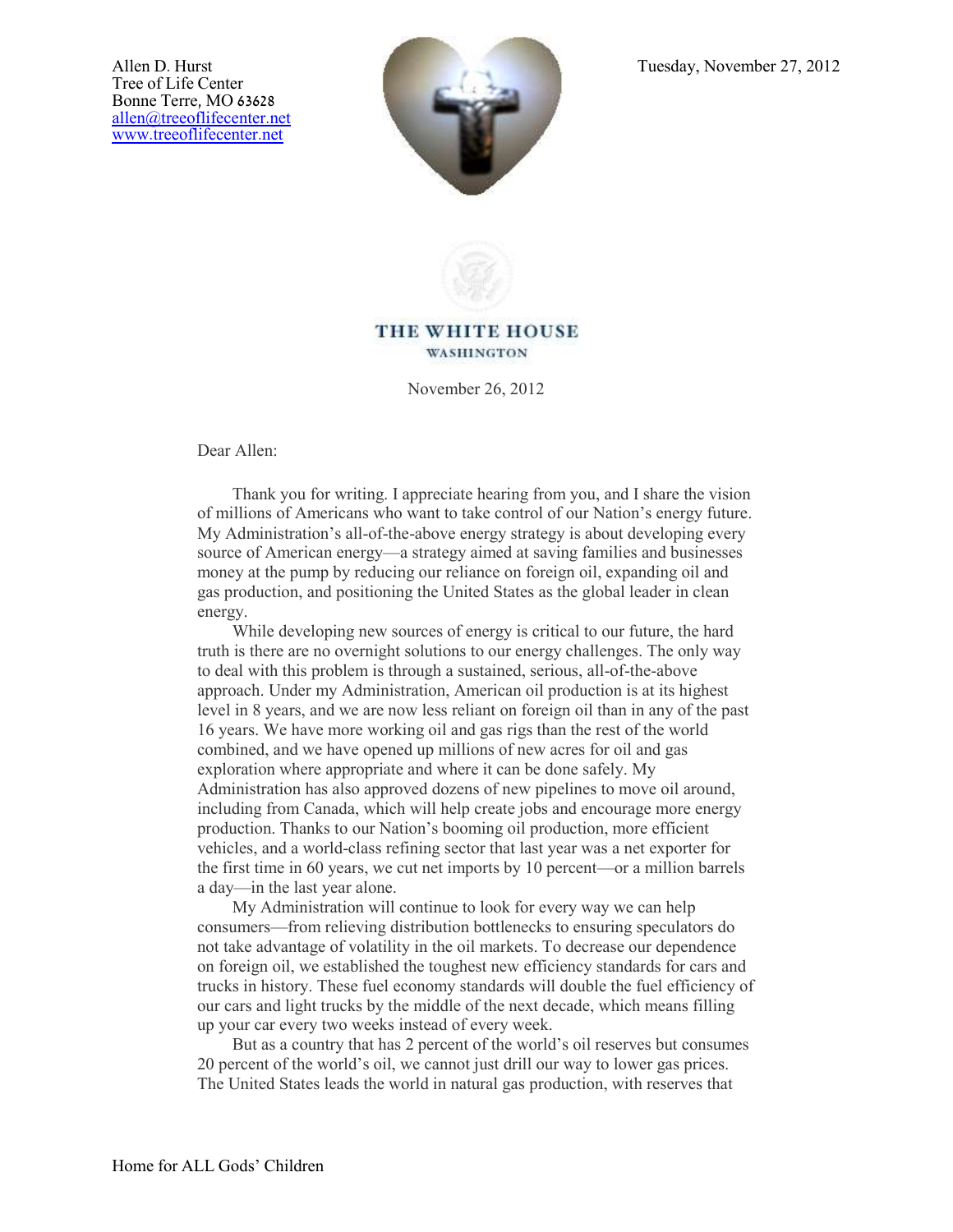Tree of Life Center Bonne Terre, MO 63628 [allen@treeoflifecenter.net](mailto:allen@treeoflifecenter.net) [www.treeoflifecenter.net](http://www.treeoflifecenter.net/)





## THE WHITE HOUSE WASHINGTON

November 26, 2012

Dear Allen:

Thank you for writing. I appreciate hearing from you, and I share the vision of millions of Americans who want to take control of our Nation's energy future. My Administration's all-of-the-above energy strategy is about developing every source of American energy—a strategy aimed at saving families and businesses money at the pump by reducing our reliance on foreign oil, expanding oil and gas production, and positioning the United States as the global leader in clean energy.

While developing new sources of energy is critical to our future, the hard truth is there are no overnight solutions to our energy challenges. The only way to deal with this problem is through a sustained, serious, all-of-the-above approach. Under my Administration, American oil production is at its highest level in 8 years, and we are now less reliant on foreign oil than in any of the past 16 years. We have more working oil and gas rigs than the rest of the world combined, and we have opened up millions of new acres for oil and gas exploration where appropriate and where it can be done safely. My Administration has also approved dozens of new pipelines to move oil around, including from Canada, which will help create jobs and encourage more energy production. Thanks to our Nation's booming oil production, more efficient vehicles, and a world-class refining sector that last year was a net exporter for the first time in 60 years, we cut net imports by 10 percent—or a million barrels a day—in the last year alone.

My Administration will continue to look for every way we can help consumers—from relieving distribution bottlenecks to ensuring speculators do not take advantage of volatility in the oil markets. To decrease our dependence on foreign oil, we established the toughest new efficiency standards for cars and trucks in history. These fuel economy standards will double the fuel efficiency of our cars and light trucks by the middle of the next decade, which means filling up your car every two weeks instead of every week.

But as a country that has 2 percent of the world's oil reserves but consumes 20 percent of the world's oil, we cannot just drill our way to lower gas prices. The United States leads the world in natural gas production, with reserves that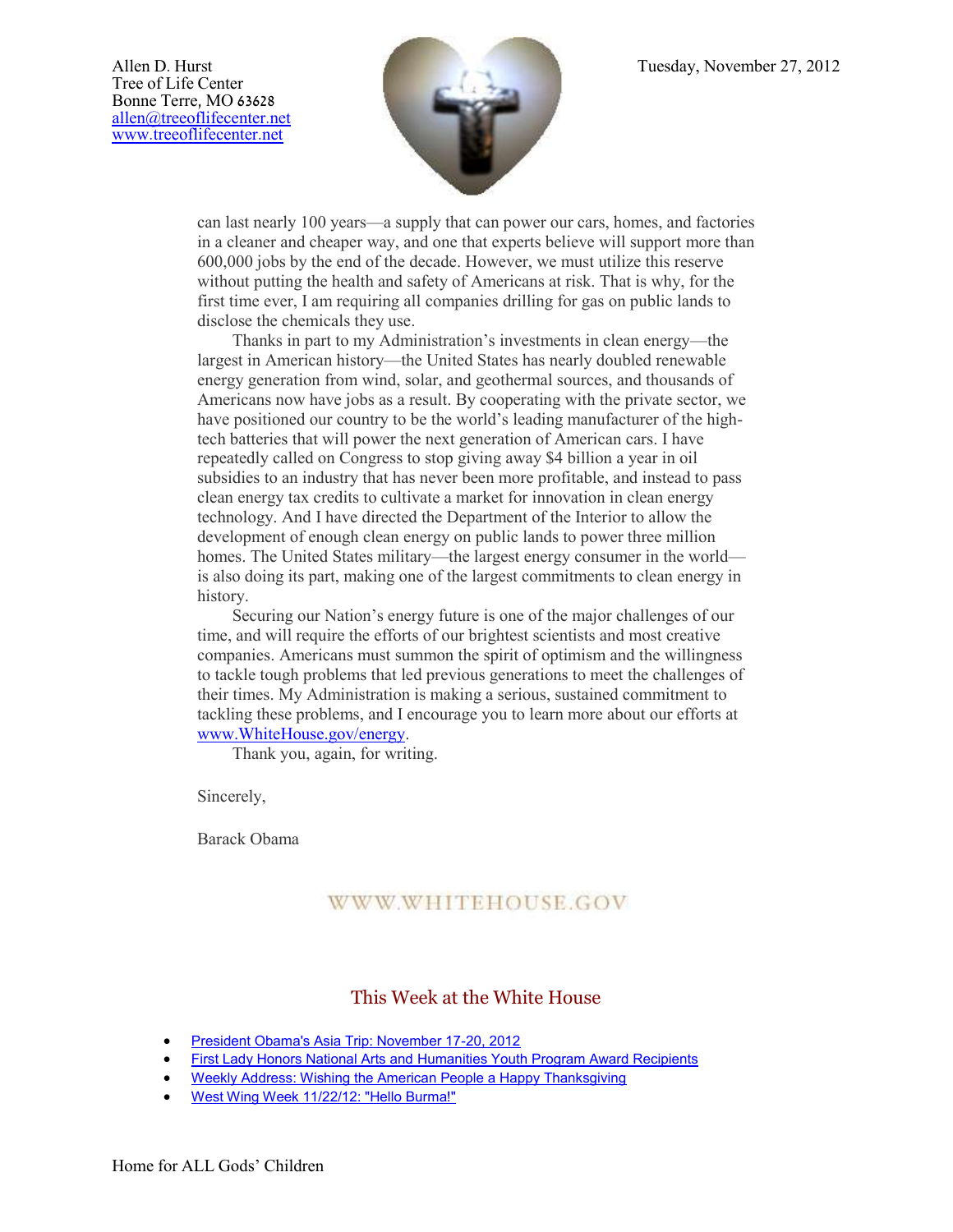Tree of Life Center Bonne Terre, MO 63628 [allen@treeoflifecenter.net](mailto:allen@treeoflifecenter.net) [www.treeoflifecenter.net](http://www.treeoflifecenter.net/)



can last nearly 100 years—a supply that can power our cars, homes, and factories in a cleaner and cheaper way, and one that experts believe will support more than 600,000 jobs by the end of the decade. However, we must utilize this reserve without putting the health and safety of Americans at risk. That is why, for the first time ever, I am requiring all companies drilling for gas on public lands to disclose the chemicals they use.

Thanks in part to my Administration's investments in clean energy—the largest in American history—the United States has nearly doubled renewable energy generation from wind, solar, and geothermal sources, and thousands of Americans now have jobs as a result. By cooperating with the private sector, we have positioned our country to be the world's leading manufacturer of the hightech batteries that will power the next generation of American cars. I have repeatedly called on Congress to stop giving away \$4 billion a year in oil subsidies to an industry that has never been more profitable, and instead to pass clean energy tax credits to cultivate a market for innovation in clean energy technology. And I have directed the Department of the Interior to allow the development of enough clean energy on public lands to power three million homes. The United States military—the largest energy consumer in the world is also doing its part, making one of the largest commitments to clean energy in history.

Securing our Nation's energy future is one of the major challenges of our time, and will require the efforts of our brightest scientists and most creative companies. Americans must summon the spirit of optimism and the willingness to tackle tough problems that led previous generations to meet the challenges of their times. My Administration is making a serious, sustained commitment to tackling these problems, and I encourage you to learn more about our efforts at [www.WhiteHouse.gov/energy.](http://www.whitehouse.gov/energy?utm_source=Energy&utm_medium=EnergyMain&utm_campaign=OPC)

Thank you, again, for writing.

Sincerely,

Barack Obama

## WWW.WHITEHOUSE.GOV

## This Week at the White House

- [President Obama's Asia Trip: November 17-20, 2012](http://www.whitehouse.gov/issues/foreign-policy/asia-trip-2012?utm_source=WeeklyUpdateFooter&utm_medium=AsiaTrip11232012&utm_campaign=OPC)
- First Lady Honors National Arts and [Humanities Youth Program Award Recipients](http://www.whitehouse.gov/blog/2012/11/19/first-lady-honors-national-arts-and-humanities-youth-program-award-recipients?utm_source=WeeklyUpdateFooter&utm_medium=FLOTUSHonorsArtsHumanities&utm_campaign=OPC)
- [Weekly Address: Wishing the American People a Happy Thanksgiving](http://www.whitehouse.gov/blog/2012/11/22/weekly-address-wishing-american-people-happy-thanksgiving?utm_source=WeeklyUpdateFooter&utm_medium=WeeklyAddress11222012&utm_campaign=OPC)
- [West Wing Week 11/22/12: "Hello Burma!"](http://www.whitehouse.gov/blog/2012/11/21/west-wing-week-112212-or-hello-burma-0?utm_source=WeeklyUpdateFooter&utm_medium=WWWeek11232012&utm_campaign=OPC)